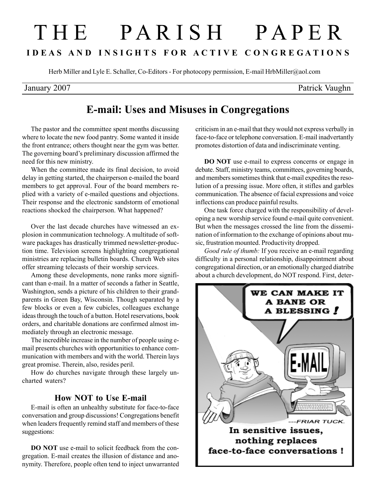# T H E P A R I S H P A P E R I D E A S A N D I N S I G H T S F O R A C T I V E C O N G R E G A T I O N S

Herb Miller and Lyle E. Schaller, Co-Editors - For photocopy permission, E-mail HrbMiller@aol.com

## January 2007 Patrick Vaughn

## E-mail: Uses and Misuses in Congregations

The pastor and the committee spent months discussing where to locate the new food pantry. Some wanted it inside the front entrance; others thought near the gym was better. The governing board's preliminary discussion affirmed the need for this new ministry.

When the committee made its final decision, to avoid delay in getting started, the chairperson e-mailed the board members to get approval. Four of the board members replied with a variety of e-mailed questions and objections. Their response and the electronic sandstorm of emotional reactions shocked the chairperson. What happened?

Over the last decade churches have witnessed an explosion in communication technology. A multitude of software packages has drastically trimmed newsletter-production time. Television screens highlighting congregational ministries are replacing bulletin boards. Church Web sites offer streaming telecasts of their worship services.

Among these developments, none ranks more significant than e-mail. In a matter of seconds a father in Seattle, Washington, sends a picture of his children to their grandparents in Green Bay, Wisconsin. Though separated by a few blocks or even a few cubicles, colleagues exchange ideas through the touch of a button. Hotel reservations, book orders, and charitable donations are confirmed almost immediately through an electronic message.

The incredible increase in the number of people using email presents churches with opportunities to enhance communication with members and with the world. Therein lays great promise. Therein, also, resides peril.

How do churches navigate through these largely uncharted waters?

### How NOT to Use E-mail

E-mail is often an unhealthy substitute for face-to-face conversation and group discussions! Congregations benefit when leaders frequently remind staff and members of these suggestions:

DO NOT use e-mail to solicit feedback from the congregation. E-mail creates the illusion of distance and anonymity. Therefore, people often tend to inject unwarranted criticism in an e-mail that they would not express verbally in face-to-face or telephone conversation. E-mail inadvertantly promotes distortion of data and indiscriminate venting.

DO NOT use e-mail to express concerns or engage in debate. Staff, ministry teams, committees, governing boards, and members sometimes think that e-mail expedites the resolution of a pressing issue. More often, it stifles and garbles communication. The absence of facial expressions and voice inflections can produce painful results.

One task force charged with the responsibility of developing a new worship service found e-mail quite convenient. But when the messages crossed the line from the dissemination of information to the exchange of opinions about music, frustration mounted. Productivity dropped.

Good rule of thumb: If you receive an e-mail regarding difficulty in a personal relationship, disappointment about congregational direction, or an emotionally charged diatribe about a church development, do NOT respond. First, deter-